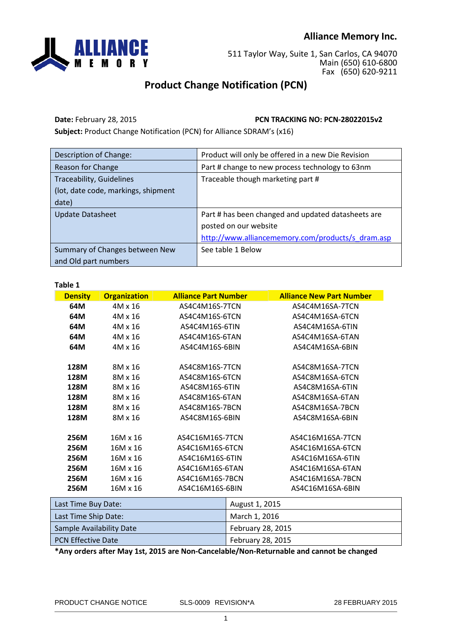## **Alliance Memory Inc.**



511 Taylor Way, Suite 1, San Carlos, CA 94070 Main (650) 610-6800 Fax (650) 620-9211

## **Product Change Notification (PCN)**

**Date:** February 28, 2015 **PCN TRACKING NO: PCN-28022015v2**

**Subject:** Product Change Notification (PCN) for Alliance SDRAM's (x16)

| Description of Change:              | Product will only be offered in a new Die Revision |  |
|-------------------------------------|----------------------------------------------------|--|
| Reason for Change                   | Part # change to new process technology to 63nm    |  |
| <b>Traceability, Guidelines</b>     | Traceable though marketing part #                  |  |
| (lot, date code, markings, shipment |                                                    |  |
| date)                               |                                                    |  |
| <b>Update Datasheet</b>             | Part # has been changed and updated datasheets are |  |
|                                     | posted on our website                              |  |
|                                     | http://www.alliancememory.com/products/s dram.asp  |  |
| Summary of Changes between New      | See table 1 Below                                  |  |
| and Old part numbers                |                                                    |  |

| ×<br>e e | I<br>۰.<br>× |  |
|----------|--------------|--|
|          |              |  |

| <b>Density</b>      | <b>Organization</b> | <b>Alliance Part Number</b> | <b>Alliance New Part Number</b> |
|---------------------|---------------------|-----------------------------|---------------------------------|
| 64M                 | $4M \times 16$      | AS4C4M16S-7TCN              | AS4C4M16SA-7TCN                 |
| 64M                 | $4M \times 16$      | AS4C4M16S-6TCN              | AS4C4M16SA-6TCN                 |
| 64M                 | $4M \times 16$      | AS4C4M16S-6TIN              | AS4C4M16SA-6TIN                 |
| 64M                 | $4M \times 16$      | AS4C4M16S-6TAN              | AS4C4M16SA-6TAN                 |
| 64M                 | $4M \times 16$      | AS4C4M16S-6BIN              | AS4C4M16SA-6BIN                 |
| 128M                | 8M x 16             | AS4C8M16S-7TCN              | AS4C8M16SA-7TCN                 |
| 128M                | 8M x 16             | AS4C8M16S-6TCN              | AS4C8M16SA-6TCN                 |
| 128M                | 8M x 16             | AS4C8M16S-6TIN              | AS4C8M16SA-6TIN                 |
| 128M                | 8M x 16             | AS4C8M16S-6TAN              | AS4C8M16SA-6TAN                 |
| 128M                | 8M x 16             | AS4C8M16S-7BCN              | AS4C8M16SA-7BCN                 |
| 128M                | 8M x 16             | AS4C8M16S-6BIN              | AS4C8M16SA-6BIN                 |
| 256M                | 16M x 16            | AS4C16M16S-7TCN             | AS4C16M16SA-7TCN                |
| 256M                | 16M x 16            | AS4C16M16S-6TCN             | AS4C16M16SA-6TCN                |
| 256M                | 16M x 16            | AS4C16M16S-6TIN             | AS4C16M16SA-6TIN                |
| 256M                | 16M x 16            | AS4C16M16S-6TAN             | AS4C16M16SA-6TAN                |
| <b>256M</b>         | 16M x 16            | AS4C16M16S-7BCN             | AS4C16M16SA-7BCN                |
| 256M                | 16M x 16            | AS4C16M16S-6BIN             | AS4C16M16SA-6BIN                |
| Last Time Buv Date: |                     | <b>August 1, 2015</b>       |                                 |

| Last Time Buy Date:       | August 1, 2015    |
|---------------------------|-------------------|
| Last Time Ship Date:      | March 1, 2016     |
| Sample Availability Date  | February 28, 2015 |
| <b>PCN Effective Date</b> | February 28, 2015 |

**\*Any orders after May 1st, 2015 are Non-Cancelable/Non-Returnable and cannot be changed**

PRODUCT CHANGE NOTICE SLS-0009 REVISION\*A 28 FEBRUARY 2015